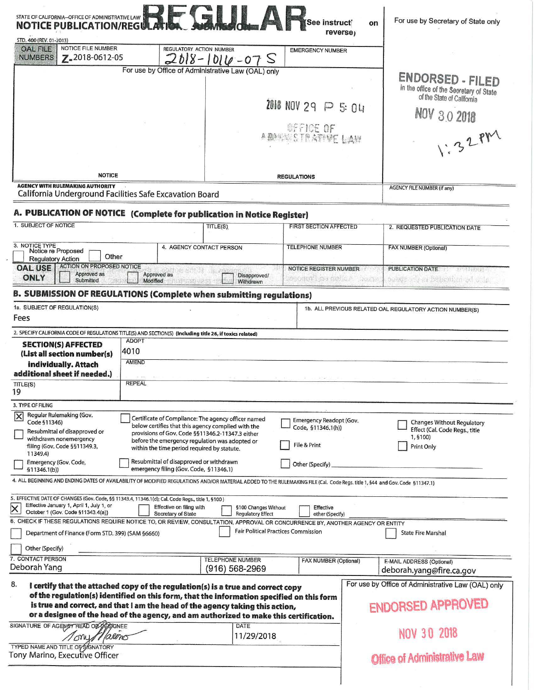| STATE OF CALIFORNIA-OFFICE OF ADMINISTRATIVE LAW<br>NOTICE PUBLICATION/REGULA                                                                                                                                                                                                                                                                                                                               |                                                                                                                                                                               |                                            | See instruct<br>reverse)                                                                                                                                      | For use by Secretary of State only<br>on                                                                  |                                     |  |
|-------------------------------------------------------------------------------------------------------------------------------------------------------------------------------------------------------------------------------------------------------------------------------------------------------------------------------------------------------------------------------------------------------------|-------------------------------------------------------------------------------------------------------------------------------------------------------------------------------|--------------------------------------------|---------------------------------------------------------------------------------------------------------------------------------------------------------------|-----------------------------------------------------------------------------------------------------------|-------------------------------------|--|
| STD. 400 (REV. 01-2013)<br>NOTICE FILE NUMBER<br><b>OAL FILE</b>                                                                                                                                                                                                                                                                                                                                            | <b>REGULATORY ACTION NUMBER</b>                                                                                                                                               |                                            | <b>EMERGENCY NUMBER</b>                                                                                                                                       |                                                                                                           |                                     |  |
| <b>NUMBERS</b><br>7.2018-0612-05                                                                                                                                                                                                                                                                                                                                                                            | For use by Office of Administrative Law (OAL) only                                                                                                                            | $018 - 1016 - 07S$                         |                                                                                                                                                               |                                                                                                           |                                     |  |
|                                                                                                                                                                                                                                                                                                                                                                                                             |                                                                                                                                                                               |                                            | 2018 NOV 29 P 5: 04                                                                                                                                           | ENDORSED - FILED<br>in the office of the Secretary of State<br>of the State of California<br>NOV 3.0 2018 |                                     |  |
|                                                                                                                                                                                                                                                                                                                                                                                                             |                                                                                                                                                                               |                                            | OFFICE OF<br>A RANSISTRATIVE LAW                                                                                                                              |                                                                                                           | $1.32$ PM                           |  |
| <b>NOTICE</b>                                                                                                                                                                                                                                                                                                                                                                                               |                                                                                                                                                                               |                                            | <b>REGULATIONS</b>                                                                                                                                            |                                                                                                           |                                     |  |
| <b>AGENCY WITH RULEMAKING AUTHORITY</b><br>California Underground Facilities Safe Excavation Board                                                                                                                                                                                                                                                                                                          |                                                                                                                                                                               |                                            |                                                                                                                                                               | <b>AGENCY FILE NUMBER (If any)</b>                                                                        |                                     |  |
| A. PUBLICATION OF NOTICE (Complete for publication in Notice Register)                                                                                                                                                                                                                                                                                                                                      |                                                                                                                                                                               |                                            |                                                                                                                                                               |                                                                                                           |                                     |  |
| 1. SUBJECT OF NOTICE                                                                                                                                                                                                                                                                                                                                                                                        |                                                                                                                                                                               | TITLE(S)                                   | <b>FIRST SECTION AFFECTED</b>                                                                                                                                 | 2. REQUESTED PUBLICATION DATE                                                                             |                                     |  |
| 3. NOTICE TYPE<br>Notice re Proposed<br>Other<br><b>Regulatory Action</b>                                                                                                                                                                                                                                                                                                                                   | 4. AGENCY CONTACT PERSON                                                                                                                                                      |                                            | <b>TELEPHONE NUMBER</b>                                                                                                                                       | <b>FAX NUMBER (Optional)</b>                                                                              |                                     |  |
| <b>ACTION ON PROPOSED NOTICE</b><br><b>OAL USE</b><br>Approved as<br><b>ONLY</b><br>Submitted                                                                                                                                                                                                                                                                                                               | Approved as<br>Modified                                                                                                                                                       | Disapproved/<br>Withdrawn                  | <b>NOTICE REGISTER NUMBER</b><br>MELENTE DA SER SAL LADAR                                                                                                     | <b>PUBLICATION DATE</b><br>base of a behold of ode                                                        | TAN HOUL                            |  |
| B. SUBMISSION OF REGULATIONS (Complete when submitting regulations)                                                                                                                                                                                                                                                                                                                                         |                                                                                                                                                                               |                                            |                                                                                                                                                               |                                                                                                           |                                     |  |
| 1a. SUBJECT OF REGULATION(S)<br>Fees                                                                                                                                                                                                                                                                                                                                                                        |                                                                                                                                                                               |                                            |                                                                                                                                                               | 1b. ALL PREVIOUS RELATED OAL REGULATORY ACTION NUMBER(S)                                                  |                                     |  |
| 2. SPECIFY CALIFORNIA CODE OF REGULATIONS TITLE(S) AND SECTION(S) (Including title 26, if toxics related)                                                                                                                                                                                                                                                                                                   |                                                                                                                                                                               |                                            |                                                                                                                                                               |                                                                                                           |                                     |  |
| <b>SECTION(S) AFFECTED</b>                                                                                                                                                                                                                                                                                                                                                                                  | <b>ADOPT</b><br>4010                                                                                                                                                          |                                            |                                                                                                                                                               |                                                                                                           |                                     |  |
| (List all section number(s)<br>individually. Attach                                                                                                                                                                                                                                                                                                                                                         | <b>AMEND</b>                                                                                                                                                                  |                                            |                                                                                                                                                               |                                                                                                           |                                     |  |
| additional sheet if needed.)                                                                                                                                                                                                                                                                                                                                                                                |                                                                                                                                                                               |                                            |                                                                                                                                                               |                                                                                                           |                                     |  |
| TITLE(S)<br>19                                                                                                                                                                                                                                                                                                                                                                                              | <b>REPEAL</b>                                                                                                                                                                 |                                            |                                                                                                                                                               |                                                                                                           |                                     |  |
| 3. TYPE OF FILING                                                                                                                                                                                                                                                                                                                                                                                           |                                                                                                                                                                               |                                            |                                                                                                                                                               |                                                                                                           |                                     |  |
| Regular Rulemaking (Gov.<br>Ι×<br>Certificate of Compliance: The agency officer named<br>Code §11346)<br>below certifies that this agency complied with the<br>Resubmittal of disapproved or<br>provisions of Gov. Code §§11346.2-11347.3 either<br>withdrawn nonemergency<br>before the emergency regulation was adopted or<br>filing (Gov. Code §§11349.3,<br>within the time period required by statute. |                                                                                                                                                                               |                                            | Emergency Readopt (Gov.<br><b>Changes Without Regulatory</b><br>Code, §11346.1(h))<br>Effect (Cal. Code Regs., title<br>1,5100)<br>File & Print<br>Print Only |                                                                                                           |                                     |  |
| 11349.4)<br>Emergency (Gov. Code,<br>\$11346.1(b)]                                                                                                                                                                                                                                                                                                                                                          | Resubmittal of disapproved or withdrawn<br>emergency filing (Gov. Code, §11346.1)                                                                                             |                                            | Other (Specify)                                                                                                                                               |                                                                                                           |                                     |  |
| 4. ALL BEGINNING AND ENDING DATES OF AVAILABILITY OF MODIFIED REGULATIONS AND/OR MATERIAL ADDED TO THE RULEMAKING FILE (Cal. Code Regs. title 1, §44 and Gov. Code §11347.1)                                                                                                                                                                                                                                |                                                                                                                                                                               |                                            |                                                                                                                                                               |                                                                                                           |                                     |  |
| 5. EFFECTIVE DATE OF CHANGES (Gov. Code, §§ 11343.4, 11346.1(d); Cal. Code Regs., title 1, §100)<br>Effective January 1, April 1, July 1, or<br>$\times$                                                                                                                                                                                                                                                    | Effective on filing with                                                                                                                                                      | §100 Changes Without                       | Effective                                                                                                                                                     |                                                                                                           |                                     |  |
| October 1 (Gov. Code §11343.4(a))<br>6. CHECK IF THESE REGULATIONS REQUIRE NOTICE TO, OR REVIEW, CONSULTATION, APPROVAL OR CONCURRENCE BY, ANOTHER AGENCY OR ENTITY                                                                                                                                                                                                                                         | Secretary of State                                                                                                                                                            | <b>Regulatory Effect</b>                   | other (Specify)                                                                                                                                               |                                                                                                           |                                     |  |
| Department of Finance (Form STD. 399) (SAM §6660)                                                                                                                                                                                                                                                                                                                                                           |                                                                                                                                                                               | <b>Fair Political Practices Commission</b> |                                                                                                                                                               | <b>State Fire Marshal</b>                                                                                 |                                     |  |
| Other (Specify)<br>7. CONTACT PERSON                                                                                                                                                                                                                                                                                                                                                                        |                                                                                                                                                                               |                                            |                                                                                                                                                               |                                                                                                           |                                     |  |
| Deborah Yang                                                                                                                                                                                                                                                                                                                                                                                                |                                                                                                                                                                               | <b>TELEPHONE NUMBER</b><br>(916) 568-2969  | FAX NUMBER (Optional)                                                                                                                                         | E-MAIL ADDRESS (Optional)<br>deborah.yang@fire.ca.gov                                                     |                                     |  |
| 8.                                                                                                                                                                                                                                                                                                                                                                                                          | I certify that the attached copy of the regulation(s) is a true and correct copy<br>of the regulation(s) identified on this form, that the information specified on this form |                                            |                                                                                                                                                               | For use by Office of Administrative Law (OAL) only                                                        |                                     |  |
|                                                                                                                                                                                                                                                                                                                                                                                                             | is true and correct, and that I am the head of the agency taking this action,<br>or a designee of the head of the agency, and am authorized to make this certification.       |                                            |                                                                                                                                                               | <b>ENDORSED APPROVED</b>                                                                                  |                                     |  |
| SIGNATURE OF AGENCY HEAD OF CENTIMEE<br>1 ony 1 arms                                                                                                                                                                                                                                                                                                                                                        |                                                                                                                                                                               | <b>DATE</b><br>11/29/2018                  |                                                                                                                                                               |                                                                                                           | NOV 30 2018                         |  |
| TYPED NAME AND TITLE OF SIGNATORY<br>Tony Marino, Executive Officer                                                                                                                                                                                                                                                                                                                                         |                                                                                                                                                                               |                                            |                                                                                                                                                               |                                                                                                           | <b>Office of Administrative Law</b> |  |
|                                                                                                                                                                                                                                                                                                                                                                                                             |                                                                                                                                                                               |                                            |                                                                                                                                                               |                                                                                                           |                                     |  |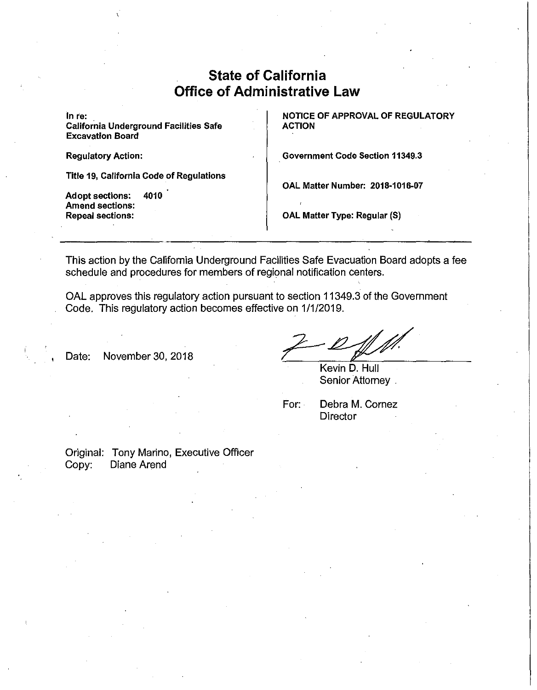# **State of California Office of Administrative Law**

In re: California Underground Facilities Safe Excavation Board

**NOTICE OF APPROVAL OF REGULATORY ACTION** 

Title 19, California Code of Regulations

Adopt sections: 4010 Amend sections: Repeal sections:

Regulatory Action:

**Government Code Section 11349.3** 

**OAL Matter Number: 2018-1016-07** 

**OAL Matter Type: Regular (S)** 

This action by the California Underground Facilities Safe Evacuation Board adopts a fee schedule and procedures for members of regional notification centers.

OAL approves this regulatory action pursuant to section 11349.3 of the Government Code. This regulatory action becomes effective on 1/1/2019.

Date: November 30, 2018

Kevin D. Hull Senior Attorney

For: Debra M. Cornez **Director** 

Original: Tony Marino, Executive Officer Copy: Diane Arend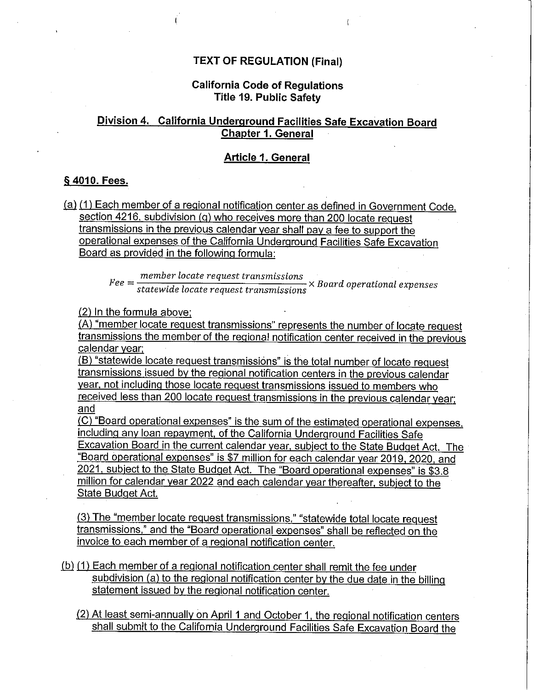## **TEXT OF REGULATION (Final)**

## **California Code of Regulations Title 19. Public Safety**

# **Division 4. California Underground Facilities Safe Excavation Board Chapter 1. General**

#### **Article 1. General**

### § **4010. Fees .**

(a) (1) Each member of a regional notification center as defined in Government Code, section 4216, subdivision (q) who receives more than 200 locate request transmissions in the previous calendar year shall pay a fee to support the operational expenses of the California Underground Facilities Safe Excavation Board as provided in the following formula:

*Fee* = <u>member locate request transmissions</u> × *Board operational expenses statewide locate request transmissions* 

(2) In the formula above:

(Al "member locate request transmissions" represents the number of locate request transmissions the member of the regional notification center received in the previous calendar year:

(Bl "statewide locate request transmissions" is the total number of locate request transmissions issued by the regional notification centers in the previous calendar year, not including those locate request transmissions issued to members who received less than 200 locate request transmissions in the previous calendar year: and

(C) "Board operational expenses" is the sum of the estimated operational expenses, including any loan repayment. of the California Underground Facilities Safe Excavation Board in the current calendar year, subject to the State Budget Act. The "Board operational expenses" is \$7 million for each calendar year 2019, 2020, and 2021, subject to the State Budget Act. The "Board operational expenses" is \$3.8 million for calendar year 2022 and each calendar year thereafter, subject to the State Budget Act.

(3) The "member locate request transmissions," "statewide total locate request transmissions," and the "Board operational expenses" shall be reflected on the invoice to each member of a regional notification center.

(b) (1) Each member of a regional notification center shall remit the fee under subdivision (a) to the regional notification center by the due date in the billing statement issued by the regional notification center.

(2) At least semi-annually on April **1** and October 1, the regional notification centers shall submit to the California Underground Facilities Safe Excavation Board the